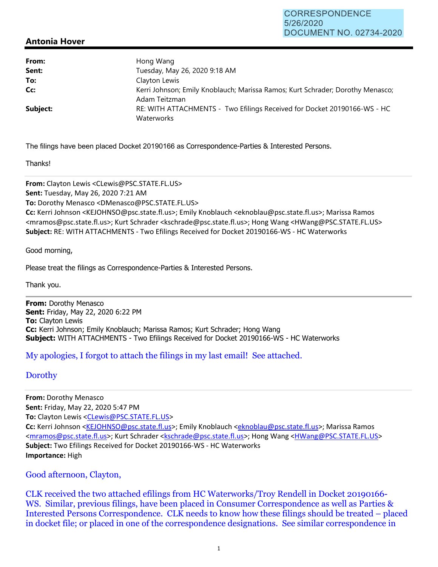## **Antonia Hover**

| From:    | Hong Wang                                                                                       |  |
|----------|-------------------------------------------------------------------------------------------------|--|
| Sent:    | Tuesday, May 26, 2020 9:18 AM                                                                   |  |
| To:      | Clayton Lewis                                                                                   |  |
| Cc:      | Kerri Johnson; Emily Knoblauch; Marissa Ramos; Kurt Schrader; Dorothy Menasco;<br>Adam Teitzman |  |
| Subject: | RE: WITH ATTACHMENTS - Two Efilings Received for Docket 20190166-WS - HC<br>Waterworks          |  |

The filings have been placed Docket 20190166 as Correspondence-Parties & Interested Persons.

Thanks!

**From:** Clayton Lewis <CLewis@PSC.STATE.FL.US> **Sent:** Tuesday, May 26, 2020 7:21 AM **To:** Dorothy Menasco <DMenasco@PSC.STATE.FL.US> **Cc:** Kerri Johnson <KEJOHNSO@psc.state.fl.us>; Emily Knoblauch <eknoblau@psc.state.fl.us>; Marissa Ramos <mramos@psc.state.fl.us>; Kurt Schrader <kschrade@psc.state.fl.us>; Hong Wang <HWang@PSC.STATE.FL.US> **Subject:** RE: WITH ATTACHMENTS ‐ Two Efilings Received for Docket 20190166‐WS ‐ HC Waterworks

Good morning,

Please treat the filings as Correspondence-Parties & Interested Persons.

Thank you.

**From:** Dorothy Menasco **Sent:** Friday, May 22, 2020 6:22 PM **To:** Clayton Lewis **Cc:** Kerri Johnson; Emily Knoblauch; Marissa Ramos; Kurt Schrader; Hong Wang **Subject:** WITH ATTACHMENTS - Two Efilings Received for Docket 20190166-WS - HC Waterworks

## My apologies, I forgot to attach the filings in my last email! See attached.

## Dorothy

**From:** Dorothy Menasco **Sent:** Friday, May 22, 2020 5:47 PM **To:** Clayton Lewis <CLewis@PSC.STATE.FL.US> **Cc:** Kerri Johnson <KEJOHNSO@psc.state.fl.us>; Emily Knoblauch <eknoblau@psc.state.fl.us>; Marissa Ramos <mramos@psc.state.fl.us>; Kurt Schrader <kschrade@psc.state.fl.us>; Hong Wang <HWang@PSC.STATE.FL.US> **Subject:** Two Efilings Received for Docket 20190166‐WS ‐ HC Waterworks **Importance:** High

Good afternoon, Clayton,

CLK received the two attached efilings from HC Waterworks/Troy Rendell in Docket 20190166- WS. Similar, previous filings, have been placed in Consumer Correspondence as well as Parties & Interested Persons Correspondence. CLK needs to know how these filings should be treated – placed in docket file; or placed in one of the correspondence designations. See similar correspondence in